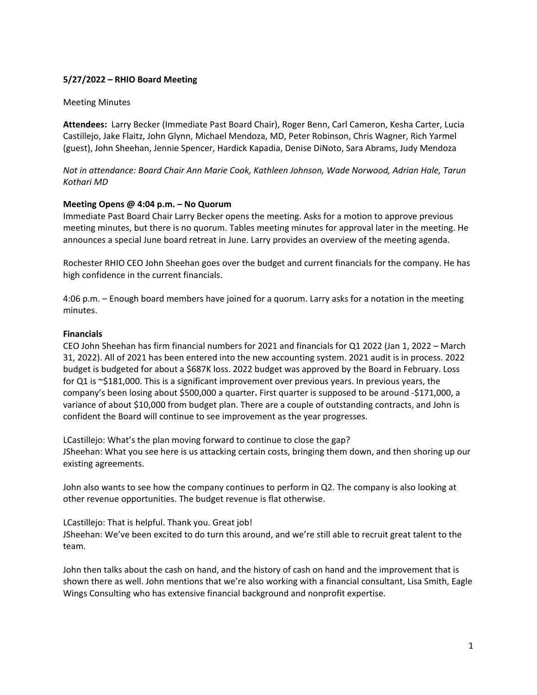# **5/27/2022 – RHIO Board Meeting**

#### Meeting Minutes

**Attendees:** Larry Becker (Immediate Past Board Chair), Roger Benn, Carl Cameron, Kesha Carter, Lucia Castillejo, Jake Flaitz, John Glynn, Michael Mendoza, MD, Peter Robinson, Chris Wagner, Rich Yarmel (guest), John Sheehan, Jennie Spencer, Hardick Kapadia, Denise DiNoto, Sara Abrams, Judy Mendoza

*Not in attendance: Board Chair Ann Marie Cook, Kathleen Johnson, Wade Norwood, Adrian Hale, Tarun Kothari MD*

#### **Meeting Opens @ 4:04 p.m. – No Quorum**

Immediate Past Board Chair Larry Becker opens the meeting. Asks for a motion to approve previous meeting minutes, but there is no quorum. Tables meeting minutes for approval later in the meeting. He announces a special June board retreat in June. Larry provides an overview of the meeting agenda.

Rochester RHIO CEO John Sheehan goes over the budget and current financials for the company. He has high confidence in the current financials.

4:06 p.m. – Enough board members have joined for a quorum. Larry asks for a notation in the meeting minutes.

#### **Financials**

CEO John Sheehan has firm financial numbers for 2021 and financials for Q1 2022 (Jan 1, 2022 – March 31, 2022). All of 2021 has been entered into the new accounting system. 2021 audit is in process. 2022 budget is budgeted for about a \$687K loss. 2022 budget was approved by the Board in February. Loss for Q1 is ~\$181,000. This is a significant improvement over previous years. In previous years, the company's been losing about \$500,000 a quarter**.** First quarter is supposed to be around -\$171,000, a variance of about \$10,000 from budget plan. There are a couple of outstanding contracts, and John is confident the Board will continue to see improvement as the year progresses.

LCastillejo: What's the plan moving forward to continue to close the gap? JSheehan: What you see here is us attacking certain costs, bringing them down, and then shoring up our existing agreements.

John also wants to see how the company continues to perform in Q2. The company is also looking at other revenue opportunities. The budget revenue is flat otherwise.

LCastillejo: That is helpful. Thank you. Great job! JSheehan: We've been excited to do turn this around, and we're still able to recruit great talent to the team.

John then talks about the cash on hand, and the history of cash on hand and the improvement that is shown there as well. John mentions that we're also working with a financial consultant, Lisa Smith, Eagle Wings Consulting who has extensive financial background and nonprofit expertise.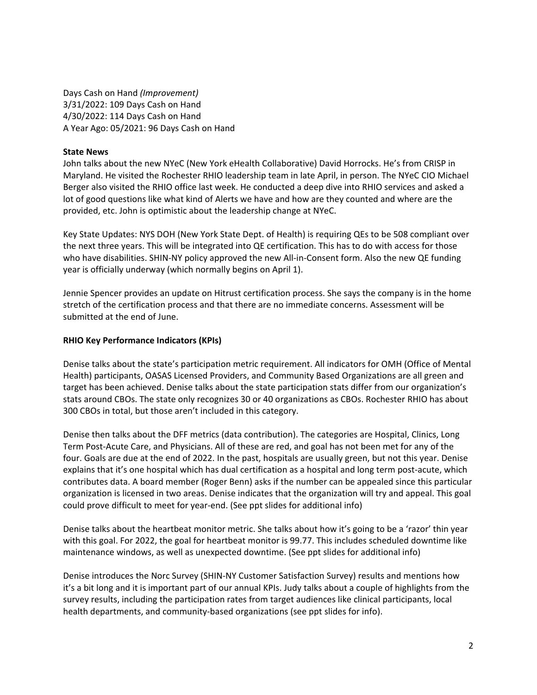Days Cash on Hand *(Improvement)* 3/31/2022: 109 Days Cash on Hand 4/30/2022: 114 Days Cash on Hand A Year Ago: 05/2021: 96 Days Cash on Hand

### **State News**

John talks about the new NYeC (New York eHealth Collaborative) David Horrocks. He's from CRISP in Maryland. He visited the Rochester RHIO leadership team in late April, in person. The NYeC CIO Michael Berger also visited the RHIO office last week. He conducted a deep dive into RHIO services and asked a lot of good questions like what kind of Alerts we have and how are they counted and where are the provided, etc. John is optimistic about the leadership change at NYeC.

Key State Updates: NYS DOH (New York State Dept. of Health) is requiring QEs to be 508 compliant over the next three years. This will be integrated into QE certification. This has to do with access for those who have disabilities. SHIN-NY policy approved the new All-in-Consent form. Also the new QE funding year is officially underway (which normally begins on April 1).

Jennie Spencer provides an update on Hitrust certification process. She says the company is in the home stretch of the certification process and that there are no immediate concerns. Assessment will be submitted at the end of June.

## **RHIO Key Performance Indicators (KPIs)**

Denise talks about the state's participation metric requirement. All indicators for OMH (Office of Mental Health) participants, OASAS Licensed Providers, and Community Based Organizations are all green and target has been achieved. Denise talks about the state participation stats differ from our organization's stats around CBOs. The state only recognizes 30 or 40 organizations as CBOs. Rochester RHIO has about 300 CBOs in total, but those aren't included in this category.

Denise then talks about the DFF metrics (data contribution). The categories are Hospital, Clinics, Long Term Post-Acute Care, and Physicians. All of these are red, and goal has not been met for any of the four. Goals are due at the end of 2022. In the past, hospitals are usually green, but not this year. Denise explains that it's one hospital which has dual certification as a hospital and long term post-acute, which contributes data. A board member (Roger Benn) asks if the number can be appealed since this particular organization is licensed in two areas. Denise indicates that the organization will try and appeal. This goal could prove difficult to meet for year-end. (See ppt slides for additional info)

Denise talks about the heartbeat monitor metric. She talks about how it's going to be a 'razor' thin year with this goal. For 2022, the goal for heartbeat monitor is 99.77. This includes scheduled downtime like maintenance windows, as well as unexpected downtime. (See ppt slides for additional info)

Denise introduces the Norc Survey (SHIN-NY Customer Satisfaction Survey) results and mentions how it's a bit long and it is important part of our annual KPIs. Judy talks about a couple of highlights from the survey results, including the participation rates from target audiences like clinical participants, local health departments, and community-based organizations (see ppt slides for info).